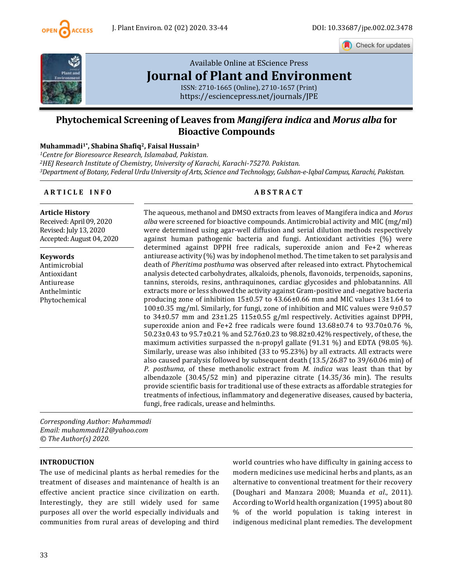

Check for updates



# [Available Online at EScience Press](https://esciencepress.net/journals/JPE) **[Journal of Plant and Environment](https://esciencepress.net/journals/JPE)**

ISSN: 2710-1665 (Online), 2710-1657 (Print) <https://esciencepress.net/journals/JPE>

# **Phytochemical Screening of Leaves from** *Mangifera indica* **and** *Morus alba* **for Bioactive Compounds**

#### **Muhammadi1\*, Shabina Shafiq2, Faisal Hussain<sup>3</sup>**

*<sup>1</sup>Centre for Bioresource Research, Islamabad, Pakistan. <sup>2</sup>HEJ Research Institute of Chemistry, University of Karachi, Karachi-75270. Pakistan. <sup>3</sup>Department of Botany, Federal Urdu University of Arts, Science and Technology, Gulshan-e-Iqbal Campus, Karachi, Pakistan.*

# **A R T I C L E I N F O A B S T R A C T**

**Article History**

Received: April 09, 2020 Revised: July 13, 2020 Accepted: August 04, 2020

**Keywords** Antimicrobial

Antioxidant Antiurease Anthelmintic Phytochemical The aqueous, methanol and DMSO extracts from leaves of Mangifera indica and *Morus alba* were screened for bioactive compounds. Antimicrobial activity and MIC (mg/ml) were determined using agar-well diffusion and serial dilution methods respectively against human pathogenic bacteria and fungi. Antioxidant activities (%) were determined against DPPH free radicals, superoxide anion and Fe+2 whereas antiurease activity (%) was by indophenol method. The time taken to set paralysis and death of *Pheritima posthuma* was observed after released into extract. Phytochemical analysis detected carbohydrates, alkaloids, phenols, flavonoids, terpenoids, saponins, tannins, steroids, resins, anthraquinones, cardiac glycosides and phlobatannins. All extracts more or less showed the activity against Gram-positive and -negative bacteria producing zone of inhibition 15±0.57 to 43.66±0.66 mm and MIC values 13±1.64 to 100±0.35 mg/ml. Similarly, for fungi, zone of inhibition and MIC values were 9±0.57 to 34±0.57 mm and 23±1.25 115±0.55 g/ml respectively. Activities against DPPH, superoxide anion and Fe+2 free radicals were found 13.68±0.74 to 93.70±0.76 %, 50.23±0.43 to 95.7±0.21 % and 52.76±0.23 to 98.82±0.42% respectively, of these, the maximum activities surpassed the n-propyl gallate  $(91.31 \%)$  and EDTA  $(98.05 \%)$ . Similarly, urease was also inhibited (33 to 95.23%) by all extracts. All extracts were also caused paralysis followed by subsequent death (13.5/26.87 to 39/60.06 min) of *P. posthuma*, of these methanolic extract from *M. indica* was least than that by albendazole (30.45/52 min) and piperazine citrate (14.35/36 min). The results provide scientific basis for traditional use of these extracts as affordable strategies for treatments of infectious, inflammatory and degenerative diseases, caused by bacteria, fungi, free radicals, urease and helminths.

*Corresponding Author: Muhammadi Email: muhammadi12@yahoo.com © The Author(s) 2020.*

#### **INTRODUCTION**

The use of medicinal plants as herbal remedies for the treatment of diseases and maintenance of health is an effective ancient practice since civilization on earth. Interestingly, they are still widely used for same purposes all over the world especially individuals and communities from rural areas of developing and third world countries who have difficulty in gaining access to modern medicines use medicinal herbs and plants, as an alternative to conventional treatment for their recovery (Doughari and Manzara 2008; Muanda *et al*., 2011). According to World health organization (1995) about 80 % of the world population is taking interest in indigenous medicinal plant remedies. The development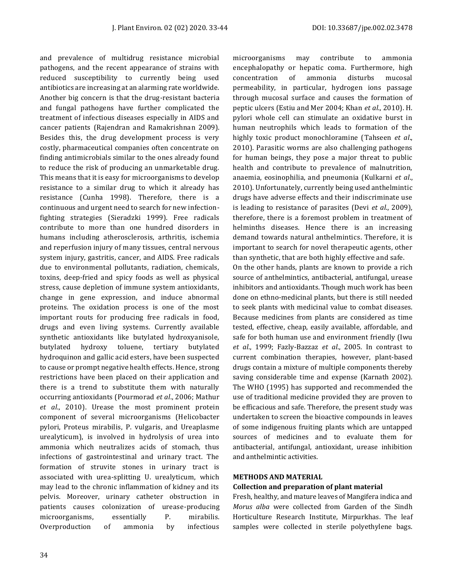and prevalence of multidrug resistance microbial pathogens, and the recent appearance of strains with reduced susceptibility to currently being used antibiotics are increasing at an alarming rate worldwide. Another big concern is that the drug-resistant bacteria and fungal pathogens have further complicated the treatment of infectious diseases especially in AIDS and cancer patients (Rajendran and Ramakrishnan 2009). Besides this, the drug development process is very costly, pharmaceutical companies often concentrate on finding antimicrobials similar to the ones already found to reduce the risk of producing an unmarketable drug. This means that it is easy for microorganisms to develop resistance to a similar drug to which it already has resistance (Cunha 1998). Therefore, there is a continuous and urgent need to search for new infectionfighting strategies (Sieradzki 1999). Free radicals contribute to more than one hundred disorders in humans including atherosclerosis, arthritis, ischemia and reperfusion injury of many tissues, central nervous system injury, gastritis, cancer, and AIDS. Free radicals due to environmental pollutants, radiation, chemicals, toxins, deep-fried and spicy foods as well as physical stress, cause depletion of immune system antioxidants, change in gene expression, and induce abnormal proteins. The oxidation process is one of the most important routs for producing free radicals in food, drugs and even living systems. Currently available synthetic antioxidants like butylated hydroxyanisole, butylated hydroxy toluene, tertiary butylated hydroquinon and gallic acid esters, have been suspected to cause or prompt negative health effects. Hence, strong restrictions have been placed on their application and there is a trend to substitute them with naturally occurring antioxidants (Pourmorad *et al*., 2006; Mathur *et al*., 2010). Urease the most prominent protein component of several microorganisms (Helicobacter pylori, Proteus mirabilis, P. vulgaris, and Ureaplasme urealyticum), is involved in hydrolysis of urea into ammonia which neutralizes acids of stomach, thus infections of gastrointestinal and urinary tract. The formation of struvite stones in urinary tract is associated with urea-splitting U. urealyticum, which may lead to the chronic inflammation of kidney and its pelvis. Moreover, urinary catheter obstruction in patients causes colonization of urease-producing microorganisms, essentially P. mirabilis. Overproduction of ammonia by infectious microorganisms may contribute to ammonia encephalopathy or hepatic coma. Furthermore, high concentration of ammonia disturbs mucosal permeability, in particular, hydrogen ions passage through mucosal surface and causes the formation of peptic ulcers (Estiu and Mer 2004; Khan *et al*., 2010). H. pylori whole cell can stimulate an oxidative burst in human neutrophils which leads to formation of the highly toxic product monochloramine (Tahseen *et al*., 2010). Parasitic worms are also challenging pathogens for human beings, they pose a major threat to public health and contribute to prevalence of malnutrition, anaemia, eosinophilia, and pneumonia (Kulkarni *et al*., 2010). Unfortunately, currently being used anthelmintic drugs have adverse effects and their indiscriminate use is leading to resistance of parasites (Devi *et al*., 2009), therefore, there is a foremost problem in treatment of helminths diseases. Hence there is an increasing demand towards natural anthelmintics. Therefore, it is important to search for novel therapeutic agents, other than synthetic, that are both highly effective and safe.

On the other hands, plants are known to provide a rich source of anthelmintics, antibacterial, antifungal, urease inhibitors and antioxidants. Though much work has been done on ethno-medicinal plants, but there is still needed to seek plants with medicinal value to combat diseases. Because medicines from plants are considered as time tested, effective, cheap, easily available, affordable, and safe for both human use and environment friendly (Iwu *et al*., 1999; Fazly-Bazzaz *et al*., 2005. In contrast to current combination therapies, however, plant-based drugs contain a mixture of multiple components thereby saving considerable time and expense (Karnath 2002). The WHO (1995) has supported and recommended the use of traditional medicine provided they are proven to be efficacious and safe. Therefore, the present study was undertaken to screen the bioactive compounds in leaves of some indigenous fruiting plants which are untapped sources of medicines and to evaluate them for antibacterial, antifungal, antioxidant, urease inhibition and anthelmintic activities.

#### **METHODS AND MATERIAL**

# **Collection and preparation of plant material**

Fresh, healthy, and mature leaves of Mangifera indica and *Morus alba* were collected from Garden of the Sindh Horticulture Research Institute, Mirpurkhas. The leaf samples were collected in sterile polyethylene bags.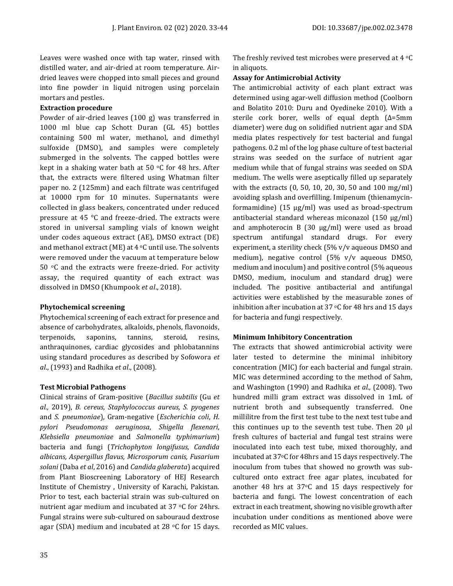Leaves were washed once with tap water, rinsed with distilled water, and air-dried at room temperature. Airdried leaves were chopped into small pieces and ground into fine powder in liquid nitrogen using porcelain mortars and pestles.

#### **Extraction procedure**

Powder of air-dried leaves (100 g) was transferred in 1000 ml blue cap Schott Duran (GL 45) bottles containing 500 ml water, methanol, and dimethyl sulfoxide (DMSO), and samples were completely submerged in the solvents. The capped bottles were kept in a shaking water bath at 50  $\,^{\circ}$ C for 48 hrs. After that, the extracts were filtered using Whatman filter paper no. 2 (125mm) and each filtrate was centrifuged at 10000 rpm for 10 minutes. Supernatants were collected in glass beakers, concentrated under reduced pressure at 45 °C and freeze-dried. The extracts were stored in universal sampling vials of known weight under codes aqueous extract (AE), DMSO extract (DE) and methanol extract (ME) at  $4^{\circ}$ C until use. The solvents were removed under the vacuum at temperature below 50 $\degree$ C and the extracts were freeze-dried. For activity assay, the required quantity of each extract was dissolved in DMSO (Khumpook *et al*., 2018).

# **Phytochemical screening**

Phytochemical screening of each extract for presence and absence of carbohydrates, alkaloids, phenols, flavonoids, terpenoids, saponins, tannins, steroid, resins, anthraquinones, cardiac glycosides and phlobatannins using standard procedures as described by Sofowora *et al*., (1993) and Radhika *et al*., (2008).

# **Test Microbial Pathogens**

Clinical strains of Gram-positive (*Bacillus subtilis* (Gu *et al.,* 2019), *B. cereus, Staphylococcus aureus, S. pyogenes* and *S. pneumoniae*), Gram-negative (*Escherichia coli*, *H. pylori Pseudomonas aeruginosa*, *Shigella flexenari*, *Klebsiella pneumoniae* and *Salmonella typhimurium*) bacteria and fungi (*Trichophyton longifusus, Candida albicans, Aspergillus flavus, Microsporum canis, Fusarium solani* (Daba *et al*, 2016) and *Candida glaberata*) acquired from Plant Bioscreening Laboratory of HEJ Research Institute of Chemistry , University of Karachi, Pakistan. Prior to test, each bacterial strain was sub-cultured on nutrient agar medium and incubated at 37 °C for 24hrs. Fungal strains were sub-cultured on sabouraud dextrose agar (SDA) medium and incubated at 28  $\circ$ C for 15 days.

The freshly revived test microbes were preserved at  $4 \text{ }^{\circ}$ C in aliquots.

# **Assay for Antimicrobial Activity**

The antimicrobial activity of each plant extract was determined using agar-well diffusion method (Coolborn and Bolatito 2010: Duru and Oyedineke 2010). With a sterile cork borer, wells of equal depth (Δ=5mm diameter) were dug on solidified nutrient agar and SDA media plates respectively for test bacterial and fungal pathogens*.* 0.2 ml of the log phase culture of test bacterial strains was seeded on the surface of nutrient agar medium while that of fungal strains was seeded on SDA medium. The wells were aseptically filled up separately with the extracts (0, 50, 10, 20, 30, 50 and 100 mg/ml) avoiding splash and overfilling. Imipenum (thienamycinformamidine) (15 µg/ml) was used as broad-spectrum antibacterial standard whereas miconazol (150 µg/ml) and amphoterocin B (30 µg/ml) were used as broad spectrum antifungal standard drugs. For every experiment, a sterility check (5% v/v aqueous DMSO and medium), negative control (5% v/v aqueous DMSO, medium and inoculum) and positive control (5% aqueous DMSO, medium, inoculum and standard drug) were included. The positive antibacterial and antifungal activities were established by the measurable zones of inhibition after incubation at 37  $\circ$ C for 48 hrs and 15 days for bacteria and fungi respectively.

# **Minimum Inhibitory Concentration**

The extracts that showed antimicrobial activity were later tested to determine the minimal inhibitory concentration (MIC) for each bacterial and fungal strain. MIC was determined according to the method of Sahm, and Washington (1990) and Radhika *et al.,* (2008). Two hundred milli gram extract was dissolved in 1mL of nutrient broth and subsequently transferred. One millilitre from the first test tube to the next test tube and this continues up to the seventh test tube. Then 20 µl fresh cultures of bacterial and fungal test strains were inoculated into each test tube, mixed thoroughly, and incubated at 37oC for 48hrs and 15 days respectively. The inoculum from tubes that showed no growth was subcultured onto extract free agar plates, incubated for another 48 hrs at 37oC and 15 days respectively for bacteria and fungi. The lowest concentration of each extract in each treatment, showing no visible growth after incubation under conditions as mentioned above were recorded as MIC values.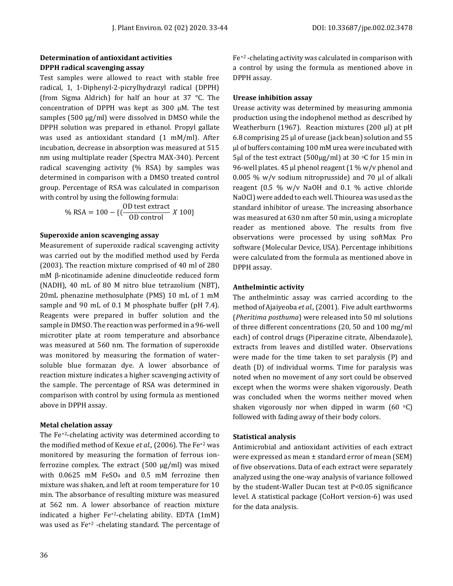# **Determination of antioxidant activities DPPH radical scavenging assay**

Test samples were allowed to react with stable free radical, 1, 1-Diphenyl-2-picrylhydrazyl radical (DPPH) (from Sigma Aldrich) for half an hour at 37 °C. The concentration of DPPH was kept as 300 μM. The test samples (500 µg/ml) were dissolved in DMSO while the DPPH solution was prepared in ethanol. Propyl gallate was used as antioxidant standard (1 mM/ml). After incubation, decrease in absorption was measured at 515 nm using multiplate reader (Spectra MAX-340). Percent radical scavenging activity (% RSA) by samples was determined in comparison with a DMSO treated control group. Percentage of RSA was calculated in comparison with control by using the following formula:

% RSA = 
$$
100 - \{(\frac{OD \text{ test extract}}{OD \text{ control}} X 100\}
$$

#### **Superoxide anion scavenging assay**

Measurement of superoxide radical scavenging activity was carried out by the modified method used by Ferda (2003). The reaction mixture comprised of 40 ml of 280 mM β-nicotinamide adenine dinucleotide reduced form (NADH), 40 mL of 80 M nitro blue tetrazolium (NBT), 20mL phenazine methosulphate (PMS) 10 mL of 1 mM sample and 90 mL of 0.1 M phosphate buffer (pH 7.4). Reagents were prepared in buffer solution and the sample in DMSO. The reaction was performed in a 96-well microtiter plate at room temperature and absorbance was measured at 560 nm. The formation of superoxide was monitored by measuring the formation of watersoluble blue formazan dye. A lower absorbance of reaction mixture indicates a higher scavenging activity of the sample. The percentage of RSA was determined in comparison with control by using formula as mentioned above in DPPH assay.

#### **Metal chelation assay**

The Fe+2-chelating activity was determined according to the modified method of Kexue *et al.,* (2006). The Fe+2 was monitored by measuring the formation of ferrous ionferrozine complex. The extract (500 µg/ml) was mixed with 0.0625 mM FeSO<sup>4</sup> and 0.5 mM ferrozine then mixture was shaken, and left at room temperature for 10 min. The absorbance of resulting mixture was measured at 562 nm. A lower absorbance of reaction mixture indicated a higher Fe+2-chelating ability. EDTA (1mM) was used as Fe+2 -chelating standard. The percentage of Fe+2 -chelating activity was calculated in comparison with a control by using the formula as mentioned above in DPPH assay.

#### **Urease inhibition assay**

Urease activity was determined by measuring ammonia production using the indophenol method as described by Weatherburn (1967). Reaction mixtures (200 µl) at pH 6.8 comprising 25 µl of urease (jack bean) solution and 55 µl of buffers containing 100 mM urea were incubated with 5µl of the test extract (500µg/ml) at 30  $\,^{\circ}$ C for 15 min in 96-well plates. 45 µl phenol reagent (1 % w/v phenol and 0.005 % w/v sodium nitroprusside) and 70 µl of alkali reagent (0.5 % w/v NaOH and 0.1 % active chloride NaOCl) were added to each well. Thiourea was used as the standard inhibitor of urease. The increasing absorbance was measured at 630 nm after 50 min, using a microplate reader as mentioned above. The results from five observations were processed by using softMax Pro software (Molecular Device, USA). Percentage inhibitions were calculated from the formula as mentioned above in DPPH assay.

# **Anthelmintic activity**

The anthelmintic assay was carried according to the method of Ajaiyeoba *et al.,*(2001). Five adult earthworms (*Pheritima posthuma*) were released into 50 ml solutions of three different concentrations (20, 50 and 100 mg/ml each) of control drugs (Piperazine citrate, Albendazole), extracts from leaves and distilled water. Observations were made for the time taken to set paralysis (P) and death (D) of individual worms. Time for paralysis was noted when no movement of any sort could be observed except when the worms were shaken vigorously. Death was concluded when the worms neither moved when shaken vigorously nor when dipped in warm (60  $°C$ ) followed with fading away of their body colors.

# **Statistical analysis**

Antimicrobial and antioxidant activities of each extract were expressed as mean ± standard error of mean (SEM) of five observations. Data of each extract were separately analyzed using the one-way analysis of variance followed by the student-Waller Ducan test at P<0.05 significance level. A statistical package (CoHort version-6) was used for the data analysis.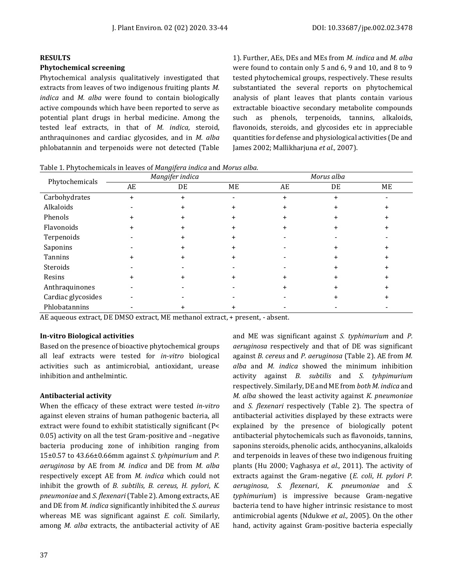#### **RESULTS**

#### **Phytochemical screening**

Phytochemical analysis qualitatively investigated that extracts from leaves of two indigenous fruiting plants *M. indica* and *M. alba* were found to contain biologically active compounds which have been reported to serve as potential plant drugs in herbal medicine. Among the tested leaf extracts, in that of *M. indica,* steroid, anthraquinones and cardiac glycosides, and in *M. alba* phlobatannin and terpenoids were not detected (Table 1). Further, AEs, DEs and MEs from *M. indica* and *M. alba* were found to contain only 5 and 6, 9 and 10, and 8 to 9 tested phytochemical groups, respectively. These results substantiated the several reports on phytochemical analysis of plant leaves that plants contain various extractable bioactive secondary metabolite compounds such as phenols, terpenoids, tannins, alkaloids, flavonoids, steroids, and glycosides etc in appreciable quantities for defense and physiological activities (De and James 2002; Mallikharjuna *et al.,* 2007).

Table 1. Phytochemicals in leaves of *Mangifera indica* and *Morus alba.*

| Phytochemicals     | Mangifer indica |           |    | Morus alba |    |    |  |
|--------------------|-----------------|-----------|----|------------|----|----|--|
|                    | AE              | DE        | МE | AE         | DE | ME |  |
| Carbohydrates      | $+$             | $\ddot{}$ |    | $\ddot{}$  | +  |    |  |
| Alkaloids          |                 | $\ddot{}$ |    |            | +  |    |  |
| Phenols            |                 | +         |    |            |    |    |  |
| Flavonoids         |                 |           |    |            |    |    |  |
| Terpenoids         |                 | +         |    |            |    |    |  |
| Saponins           |                 |           |    |            |    |    |  |
| Tannins            |                 |           |    |            |    |    |  |
| Steroids           |                 |           |    |            | ٠  |    |  |
| Resins             |                 | +         |    |            |    |    |  |
| Anthraquinones     |                 |           |    |            |    |    |  |
| Cardiac glycosides |                 |           |    |            |    |    |  |
| Phlobatannins      |                 |           |    |            |    |    |  |

AE aqueous extract, DE DMSO extract, ME methanol extract, + present, - absent.

# **In-vitro Biological activities**

Based on the presence of bioactive phytochemical groups all leaf extracts were tested for *in-vitro* biological activities such as antimicrobial, antioxidant, urease inhibition and anthelmintic.

# **Antibacterial activity**

When the efficacy of these extract were tested *in-vitro* against eleven strains of human pathogenic bacteria, all extract were found to exhibit statistically significant (P< 0.05) activity on all the test Gram-positive and –negative bacteria producing zone of inhibition ranging from 15±0.57 to 43.66±0.66mm against *S. tyhpimurium* and *P. aeruginosa* by AE from *M. indica* and DE from *M. alba* respectively except AE from *M. indica* which could not inhibit the growth of *B. subtilis, B. cereus, H. pylori*, *K. pneumoniae* and *S. flexenari* (Table 2). Among extracts, AE and DE from *M. indica* significantly inhibited the *S. aureus* whereas ME was significant against *E. coli*. Similarly, among *M. alba* extracts, the antibacterial activity of AE

and ME was significant against *S. typhimurium* and *P. aeruginosa* respectively and that of DE was significant against *B. cereus* and *P. aeruginosa* (Table 2). AE from *M. alba* and *M. indica* showed the minimum inhibition activity against *B. subtilis* and *S. tyhpimurium*  respectively. Similarly, DE and ME from *both M. indica* and *M. alba* showed the least activity against *K. pneumoniae*  and *S. flexenari* respectively (Table 2). The spectra of antibacterial activities displayed by these extracts were explained by the presence of biologically potent antibacterial phytochemicals such as flavonoids, tannins, saponins steroids, phenolic acids, anthocyanins, alkaloids and terpenoids in leaves of these two indigenous fruiting plants (Hu 2000; Vaghasya *et al.,* 2011). The activity of extracts against the Gram-negative (*E. coli*, *H. pylori P. aeruginosa*, *S. flexenari*, *K. pneumoniae* and *S. typhimurium*) is impressive because Gram-negative bacteria tend to have higher intrinsic resistance to most antimicrobial agents (Ndukwe *et al.,* 2005). On the other hand, activity against Gram-positive bacteria especially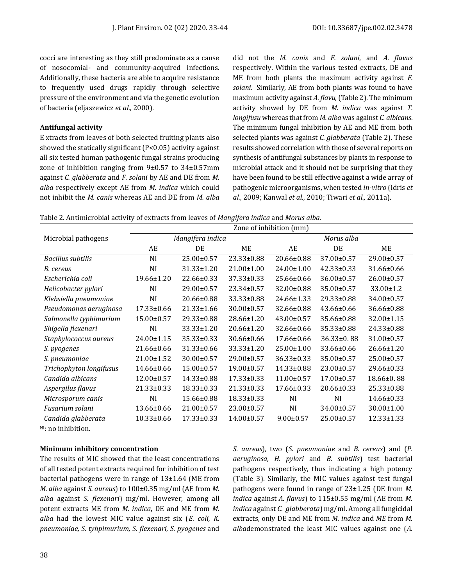cocci are interesting as they still predominate as a cause of nosocomial- and community-acquired infections. Additionally, these bacteria are able to acquire resistance to frequently used drugs rapidly through selective pressure of the environment and via the genetic evolution of bacteria (eljaszewicz *et al.,* 2000).

#### **Antifungal activity**

E xtracts from leaves of both selected fruiting plants also showed the statically significant (P<0.05) activity against all six tested human pathogenic fungal strains producing zone of inhibition ranging from 9±0.57 to 34±0.57mm against *C. glabberata* and *F. solani* by AE and DE from *M. alba* respectively except AE from *M. indica* which could not inhibit the *M. canis* whereas AE and DE from *M. alba* did not the *M. canis* and *F. solani*, and *A. flavus* respectively. Within the various tested extracts, DE and ME from both plants the maximum activity against *F. solani.* Similarly, AE from both plants was found to have maximum activity against *A. flavu,*(Table 2). The minimum activity showed by DE from *M. indica* was against *T. longifusu* whereas that from *M. alba* was against *C. albicans*. The minimum fungal inhibition by AE and ME from both selected plants was against *C. glabberata* (Table 2). These results showed correlation with those of several reports on synthesis of antifungal substances by plants in response to microbial attack and it should not be surprising that they have been found to be still effective against a wide array of pathogenic microorganisms, when tested *in-vitro* (Idris *et al.,* 2009; Kanwal *et al.,* 2010; Tiwari *et al.,* 2011a).

Table 2. Antimicrobial activity of extracts from leaves of *Mangifera indica* and *Morus alba.*

|                          | Zone of inhibition (mm) |                  |                  |                  |                  |                  |  |  |
|--------------------------|-------------------------|------------------|------------------|------------------|------------------|------------------|--|--|
| Microbial pathogens      |                         | Mangifera indica |                  | Morus alba       |                  |                  |  |  |
|                          | AE                      | DE               | ME               | AE               | DE               | ME               |  |  |
| <b>Bacillus subtilis</b> | NI                      | $25.00 \pm 0.57$ | $23.33 \pm 0.88$ | 20.66±0.88       | 37.00±0.57       | 29.00±0.57       |  |  |
| B. cereus                | NI                      | 31.33±1.20       | 21.00±1.00       | 24.00±1.00       | $42.33 \pm 0.33$ | 31.66±0.66       |  |  |
| Escherichia coli         | $19.66 \pm 1.20$        | 22.66±0.33       | $37.33 \pm 0.33$ | 25.66±0.66       | 36.00±0.57       | $26.00 \pm 0.57$ |  |  |
| Helicobacter pylori      | NI                      | $29.00 \pm 0.57$ | 23.34±0.57       | 32.00±0.88       | 35.00±0.57       | $33.00 \pm 1.2$  |  |  |
| Klebsiella pneumoniae    | NI                      | 20.66±0.88       | 33.33±0.88       | 24.66±1.33       | $29.33 \pm 0.88$ | 34.00±0.57       |  |  |
| Pseudomonas aeruginosa   | $17.33 \pm 0.66$        | $21.33 \pm 1.66$ | $30.00 \pm 0.57$ | 32.66±0.88       | 43.66±0.66       | 36.66±0.88       |  |  |
| Salmonella typhimurium   | $15.00 \pm 0.57$        | 29.33±0.88       | $28.66 \pm 1.20$ | 43.00±0.57       | 35.66±0.88       | 32.00±1.15       |  |  |
| Shigella flexenari       | NI                      | 33.33±1.20       | 20.66±1.20       | 32.66±0.66       | 35.33±0.88       | 24.33±0.88       |  |  |
| Staphylococcus aureus    | 24.00±1.15              | 35.33±0.33       | 30.66±0.66       | $17.66 \pm 0.66$ | $36.33 \pm 0.88$ | 31.00±0.57       |  |  |
| S. pyogenes              | 21.66±0.66              | 31.33±0.66       | $33.33 \pm 1.20$ | 25.00±1.00       | 33.66±0.66       | $26.66 \pm 1.20$ |  |  |
| S. pneumoniae            | $21.00 \pm 1.52$        | 30.00±0.57       | 29.00±0.57       | 36.33±0.33       | 35.00±0.57       | $25.00 \pm 0.57$ |  |  |
| Trichophyton longifusus  | 14.66±0.66              | $15.00 \pm 0.57$ | $19.00 \pm 0.57$ | 14.33±0.88       | $23.00 \pm 0.57$ | 29.66±0.33       |  |  |
| Candida albicans         | $12.00 \pm 0.57$        | 14.33±0.88       | 17.33±0.33       | 11.00±0.57       | 17.00±0.57       | $18.66 \pm 0.88$ |  |  |
| Aspergilus flavus        | 21.33±0.33              | $18.33 \pm 0.33$ | $21.33 \pm 0.33$ | $17.66 \pm 0.33$ | $20.66 \pm 0.33$ | 25.33±0.88       |  |  |
| Microsporum canis        | NI                      | 15.66±0.88       | $18.33 \pm 0.33$ | <b>NI</b>        | NI               | 14.66±0.33       |  |  |
| Fusarium solani          | $13.66 \pm 0.66$        | $21.00 \pm 0.57$ | $23.00 \pm 0.57$ | <b>NI</b>        | 34.00±0.57       | $30.00 \pm 1.00$ |  |  |
| Candida glabberata       | 10.33±0.66              | 17.33±0.33       | 14.00±0.57       | $9.00 \pm 0.57$  | 25.00±0.57       | 12.33±1.33       |  |  |

N<sub>I</sub>: no inhibition.

#### **Minimum inhibitory concentration**

The results of MIC showed that the least concentrations of all tested potent extracts required for inhibition of test bacterial pathogens were in range of 13±1.64 (ME from *M. alba* against *S. aureus*) to 100±0.35 mg/ml (AE from *M. alba* against *S. flexenari*) mg/ml. However, among all potent extracts ME from *M. indica*, DE and ME from *M. alba* had the lowest MIC value against six (*E. coli, K. pneumoniae, S. tyhpimurium, S. flexenari*, *S. pyogenes* and *S. aureus*)*,* two (*S. pneumoniae* and *B. cereus*) and (*P. aeruginosa, H. pylori* and *B. subtilis*) test bacterial pathogens respectively, thus indicating a high potency (Table 3). Similarly, the MIC values against test fungal pathogens were found in range of 23±1.25 (DE from *M. indica* against *A. flavus*) to 115±0.55 mg/ml (AE from *M. indica* against *C. glabberata*) mg/ml. Among all fungicidal extracts, only DE and ME from *M. indica* and *ME* from *M. alba*demonstrated the least MIC values against one (*A.*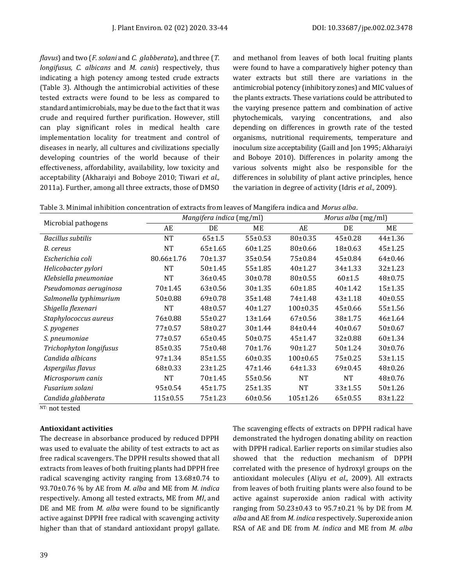*flavus*) and two (*F. solani* and *C. glabberata*), and three (*T. longifusus, C. albicans* and *M. canis*) respectively, thus indicating a high potency among tested crude extracts (Table 3). Although the antimicrobial activities of these tested extracts were found to be less as compared to standard antimicrobials, may be due to the fact that it was crude and required further purification. However, still can play significant roles in medical health care implementation locality for treatment and control of diseases in nearly, all cultures and civilizations specially developing countries of the world because of their effectiveness, affordability, availability, low toxicity and acceptability (Akharaiyi and Boboye 2010; Tiwari *et al.,* 2011a). Further, among all three extracts, those of DMSO

and methanol from leaves of both local fruiting plants were found to have a comparatively higher potency than water extracts but still there are variations in the antimicrobial potency (inhibitory zones) and MIC values of the plants extracts. These variations could be attributed to the varying presence pattern and combination of active phytochemicals, varying concentrations, and also depending on differences in growth rate of the tested organisms, nutritional requirements, temperature and inoculum size acceptability (Gaill and Jon 1995; Akharaiyi and Boboye 2010). Differences in polarity among the various solvents might also be responsible for the differences in solubility of plant active principles, hence the variation in degree of activity (Idris *et al.,* 2009).

|                          |                | Mangifera indica (mg/ml) |               | Morus alba (mg/ml) |               |               |
|--------------------------|----------------|--------------------------|---------------|--------------------|---------------|---------------|
| Microbial pathogens      | AE             | DE                       | ME            | AE                 | DE            | ME            |
| <b>Bacillus subtilis</b> | <b>NT</b>      | $65 \pm 1.5$             | 55±0.53       | $80 \pm 0.35$      | $45 \pm 0.28$ | $44 \pm 1.36$ |
| B. cereus                | <b>NT</b>      | $65 \pm 1.65$            | 60±1.25       | 80±0.66            | $18+0.63$     | $45 \pm 1.25$ |
| Escherichia coli         | 80.66±1.76     | 70±1.37                  | 35±0.54       | 75±0.84            | $45 \pm 0.84$ | $64\pm0.46$   |
| Helicobacter pylori      | NT             | 50±1.45                  | $55 + 1.85$   | 40±1.27            | $34 \pm 1.33$ | $32 \pm 1.23$ |
| Klebsiella pneumoniae    | NT             | 36±0.45                  | $30\pm0.78$   | $80 \pm 0.55$      | $60+1.5$      | $48 \pm 0.75$ |
| Pseudomonas aeruginosa   | 70±1.45        | $63 \pm 0.56$            | 30±1.35       | 60±1.85            | 40±1.42       | $15+1.35$     |
| Salmonella typhimurium   | 50±0.88        | $69 \pm 0.78$            | $35 \pm 1.48$ | 74±1.48            | $43 \pm 1.18$ | $40\pm0.55$   |
| Shigella flexenari       | <b>NT</b>      | $48 + 0.57$              | $40+1.27$     | $100 \pm 0.35$     | $45 \pm 0.66$ | 55±1.56       |
| Staphylococcus aureus    | 76±0.88        | $55 \pm 0.27$            | $13+1.64$     | $67+0.56$          | $38+1.75$     | $46 \pm 1.64$ |
| S. pyogenes              | $77+0.57$      | $58 \pm 0.27$            | 30±1.44       | $84 \pm 0.44$      | $40\pm0.67$   | $50 \pm 0.67$ |
| S. pneumoniae            | $77+0.57$      | $65 \pm 0.45$            | $50\pm0.75$   | $45 + 1.47$        | $32 \pm 0.88$ | 60±1.34       |
| Trichophyton longifusus  | $85 \pm 0.35$  | $75 \pm 0.48$            | 70±1.76       | 90±1.27            | 50±1.24       | $30\pm0.76$   |
| Candida albicans         | 97±1.34        | $85 \pm 1.55$            | $60\pm0.35$   | $100 \pm 0.65$     | $75 \pm 0.25$ | $53 \pm 1.15$ |
| Aspergilus flavus        | $68 \pm 0.33$  | $23 + 1.25$              | $47+1.46$     | $64 \pm 1.33$      | $69 \pm 0.45$ | $48 \pm 0.26$ |
| Microsporum canis        | <b>NT</b>      | 70±1.45                  | 55±0.56       | <b>NT</b>          | <b>NT</b>     | $48 \pm 0.76$ |
| Fusarium solani          | $95 \pm 0.54$  | $45 + 1.75$              | $25 + 1.35$   | <b>NT</b>          | $33 \pm 1.55$ | 50±1.26       |
| Candida glabberata       | $115 \pm 0.55$ | $75 + 1.23$              | $60 \pm 0.56$ | $105 \pm 1.26$     | $65 \pm 0.55$ | $83 \pm 1.22$ |

 $NT: not tested$ 

# **Antioxidant activities**

The decrease in absorbance produced by reduced DPPH was used to evaluate the ability of test extracts to act as free radical scavengers. The DPPH results showed that all extracts from leaves of both fruiting plants had DPPH free radical scavenging activity ranging from 13.68±0.74 to 93.70±0.76 % by AE from *M. alba* and ME from *M. indica* respectively. Among all tested extracts, ME from *MI*, and DE and ME from *M. alba* were found to be significantly active against DPPH free radical with scavenging activity higher than that of standard antioxidant propyl gallate. The scavenging effects of extracts on DPPH radical have demonstrated the hydrogen donating ability on reaction with DPPH radical. Earlier reports on similar studies also showed that the reduction mechanism of DPPH correlated with the presence of hydroxyl groups on the antioxidant molecules (Aliyu *et al.,* 2009). All extracts from leaves of both fruiting plants were also found to be active against superoxide anion radical with activity ranging from 50.23±0.43 to 95.7±0.21 % by DE from *M. alba* and AE from *M. indica* respectively. Superoxide anion RSA of AE and DE from *M. indica* and ME from *M. alba*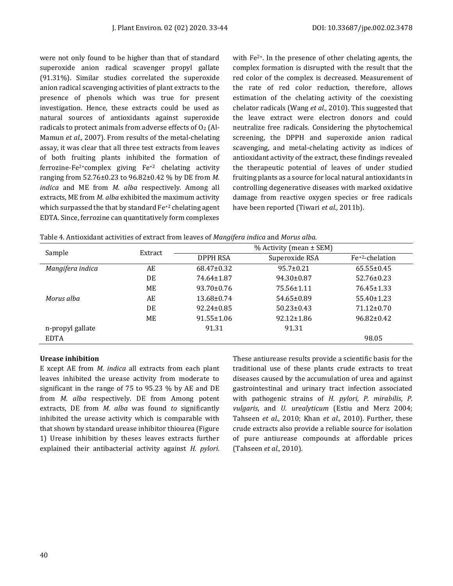were not only found to be higher than that of standard superoxide anion radical scavenger propyl gallate (91.31%). Similar studies correlated the superoxide anion radical scavenging activities of plant extracts to the presence of phenols which was true for present investigation. Hence, these extracts could be used as natural sources of antioxidants against superoxide radicals to protect animals from adverse effects of  $O<sub>2</sub>$  (Al-Mamun *et al.,* 2007). From results of the metal-chelating assay, it was clear that all three test extracts from leaves of both fruiting plants inhibited the formation of ferrozine-Fe<sup>2+</sup>complex giving  $Fe^{+2}$  chelating activity ranging from 52.76±0.23 to 96.82±0.42 % by DE from *M. indica* and ME from *M. alba* respectively. Among all extracts, ME from *M. alba* exhibited the maximum activity which surpassed the that by standard Fe+2 chelating agent EDTA. Since, ferrozine can quantitatively form complexes

with Fe2+. In the presence of other chelating agents, the complex formation is disrupted with the result that the red color of the complex is decreased. Measurement of the rate of red color reduction, therefore, allows estimation of the chelating activity of the coexisting chelator radicals (Wang *et al.,* 2010). This suggested that the leave extract were electron donors and could neutralize free radicals. Considering the phytochemical screening, the DPPH and superoxide anion radical scavenging, and metal-chelating activity as indices of antioxidant activity of the extract, these findings revealed the therapeutic potential of leaves of under studied fruiting plants as a source for local natural antioxidants in controlling degenerative diseases with marked oxidative damage from reactive oxygen species or free radicals have been reported (Tiwari *et al.,* 2011b).

Table 4. Antioxidant activities of extract from leaves of *Mangifera indica* and *Morus alba.*

| Sample           | Extract | ັ<br>% Activity (mean $\pm$ SEM) |                  |                             |  |  |  |
|------------------|---------|----------------------------------|------------------|-----------------------------|--|--|--|
|                  |         | DPPH RSA                         | Superoxide RSA   | Fe <sup>+2</sup> -chelation |  |  |  |
| Mangifera indica | AE      | 68.47±0.32                       | $95.7 \pm 0.21$  | $65.55 \pm 0.45$            |  |  |  |
|                  | DE      | 74.64±1.87                       | $94.30 \pm 0.87$ | $52.76 \pm 0.23$            |  |  |  |
|                  | ME      | $93.70 \pm 0.76$                 | 75.56±1.11       | 76.45±1.33                  |  |  |  |
| Morus alba       | AE      | $13.68 \pm 0.74$                 | $54.65 \pm 0.89$ | $55.40 \pm 1.23$            |  |  |  |
|                  | DE      | $92.24 \pm 0.85$                 | $50.23 \pm 0.43$ | $71.12 \pm 0.70$            |  |  |  |
|                  | ME      | $91.55 \pm 1.06$                 | $92.12 \pm 1.86$ | $96.82 \pm 0.42$            |  |  |  |
| n-propyl gallate |         | 91.31                            | 91.31            |                             |  |  |  |
| <b>EDTA</b>      |         |                                  |                  | 98.05                       |  |  |  |

# **Urease inhibition**

E xcept AE from *M. indica* all extracts from each plant leaves inhibited the urease activity from moderate to significant in the range of 75 to 95.23 % by AE and DE from *M. alba* respectively. DE from Among potent extracts, DE from *M. alba* was found *to* significantly inhibited the urease activity which is comparable with that shown by standard urease inhibitor thiourea (Figure 1) Urease inhibition by theses leaves extracts further explained their antibacterial activity against *H. pylori*. These antiurease results provide a scientific basis for the traditional use of these plants crude extracts to treat diseases caused by the accumulation of urea and against gastrointestinal and urinary tract infection associated with pathogenic strains of *H. pylori, P. mirabilis*, *P. vulgaris*, and *U. urealyticum* (Estiu and Merz 2004; Tahseen *et al.,* 2010; Khan *et al.,* 2010). Further, these crude extracts also provide a reliable source for isolation of pure antiurease compounds at affordable prices (Tahseen *et al.,* 2010).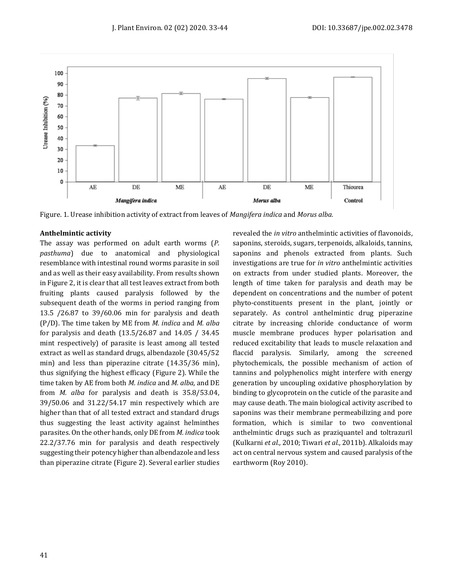

Figure. 1. Urease inhibition activity of extract from leaves of *Mangifera indica* and *Morus alba.*

#### **Anthelmintic activity**

The assay was performed on adult earth worms (*P. pasthuma*) due to anatomical and physiological resemblance with intestinal round worms parasite in soil and as well as their easy availability. From results shown in Figure 2, it is clear that all test leaves extract from both fruiting plants caused paralysis followed by the subsequent death of the worms in period ranging from 13.5 /26.87 to 39/60.06 min for paralysis and death (P/D). The time taken by ME from *M. indica* and *M. alba* for paralysis and death (13.5/26.87 and 14.05 / 34.45 mint respectively) of parasite is least among all tested extract as well as standard drugs, albendazole (30.45/52 min) and less than piperazine citrate (14.35/36 min), thus signifying the highest efficacy (Figure 2). While the time taken by AE from both *M. indica* and *M. alba,* and DE from *M. alba* for paralysis and death is 35.8/53.04, 39/50.06 and 31.22/54.17 min respectively which are higher than that of all tested extract and standard drugs thus suggesting the least activity against helminthes parasites. On the other hands, only DE from *M. indica* took 22.2/37.76 min for paralysis and death respectively suggesting their potency higher than albendazole and less than piperazine citrate (Figure 2). Several earlier studies revealed the *in vitro* anthelmintic activities of flavonoids, saponins, steroids, sugars, terpenoids, alkaloids, tannins, saponins and phenols extracted from plants. Such investigations are true for *in vitro* anthelmintic activities on extracts from under studied plants. Moreover, the length of time taken for paralysis and death may be dependent on concentrations and the number of potent phyto-constituents present in the plant, jointly or separately. As control anthelmintic drug piperazine citrate by increasing chloride conductance of worm muscle membrane produces hyper polarisation and reduced excitability that leads to muscle relaxation and flaccid paralysis. Similarly, among the screened phytochemicals, the possible mechanism of action of tannins and polyphenolics might interfere with energy generation by uncoupling oxidative phosphorylation by binding to glycoprotein on the cuticle of the parasite and may cause death. The main biological activity ascribed to saponins was their membrane permeabilizing and pore formation, which is similar to two conventional anthelmintic drugs such as praziquantel and toltrazuril (Kulkarni *et al.,* 2010; Tiwari *et al.,* 2011b). Alkaloids may act on central nervous system and caused paralysis of the earthworm (Roy 2010).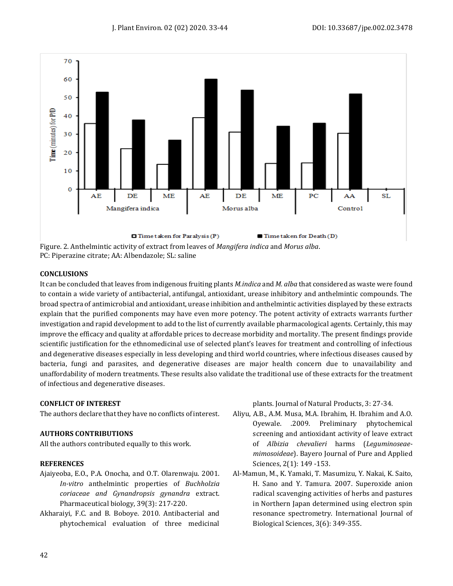

PC: Piperazine citrate; AA: Albendazole; SL: saline

# **CONCLUSIONS**

It can be concluded that leaves from indigenous fruiting plants *M.indica* and *M. alba* that considered as waste were found to contain a wide variety of antibacterial, antifungal, antioxidant, urease inhibitory and anthelmintic compounds. The broad spectra of antimicrobial and antioxidant, urease inhibition and anthelmintic activities displayed by these extracts explain that the purified components may have even more potency. The potent activity of extracts warrants further investigation and rapid development to add to the list of currently available pharmacological agents. Certainly, this may improve the efficacy and quality at affordable prices to decrease morbidity and mortality. The present findings provide scientific justification for the ethnomedicinal use of selected plant's leaves for treatment and controlling of infectious and degenerative diseases especially in less developing and third world countries, where infectious diseases caused by bacteria, fungi and parasites, and degenerative diseases are major health concern due to unavailability and unaffordability of modern treatments. These results also validate the traditional use of these extracts for the treatment of infectious and degenerative diseases.

# **CONFLICT OF INTEREST**

The authors declare that they have no conflicts of interest.

# **AUTHORS CONTRIBUTIONS**

All the authors contributed equally to this work.

# **REFERENCES**

- Ajaiyeoba, E.O., P.A. Onocha, and O.T. Olarenwaju. 2001. *In-vitro* anthelmintic properties of *Buchholzia coriaceae and Gynandropsis gynandra* extract. Pharmaceutical biology, 39(3): 217-220.
- Akharaiyi, F.C. and B. Boboye. 2010. Antibacterial and phytochemical evaluation of three medicinal

plants. Journal of Natural Products, 3: 27-34.

- Aliyu, A.B., A.M. Musa, M.A. Ibrahim, H. Ibrahim and A.O. Oyewale. .2009. Preliminary phytochemical screening and antioxidant activity of leave extract of *Albizia chevalieri* harms (*Leguminoseaemimosoideae*). Bayero Journal of Pure and Applied Sciences, 2(1): 149 -153.
- Al-Mamun, M., K. Yamaki, T. Masumizu, Y. Nakai, K. Saito, H. Sano and Y. Tamura. 2007. Superoxide anion radical scavenging activities of herbs and pastures in Northern Japan determined using electron spin resonance spectrometry. International Journal of Biological Sciences, 3(6): 349-355.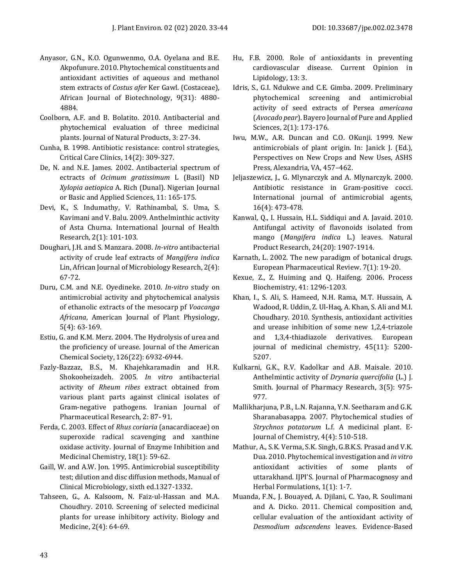- Anyasor, G.N., K.O. Ogunwenmo, O.A. Oyelana and B.E. Akpofunure. 2010. Phytochemical constituents and antioxidant activities of aqueous and methanol stem extracts of *Costus afer* Ker Gawl. (Costaceae), African Journal of Biotechnology, 9(31): 4880- 4884.
- Coolborn, A.F. and B. Bolatito. 2010. Antibacterial and phytochemical evaluation of three medicinal plants. Journal of Natural Products, 3: 27-34.
- Cunha, B. 1998. Antibiotic resistance: control strategies, Critical Care Clinics, 14(2): 309-327.
- De, N. and N.E. James. 2002. Antibacterial spectrum of ectracts of *Ocimum gratissimum* L (Basil) ND *Xylopia aetiopica* A. Rich (Dunal). Nigerian Journal or Basic and Applied Sciences, 11: 165-175.
- Devi, K., S. Indumathy, V. Rathinambal, S. Uma, S. Kavimani and V. Balu. 2009. Anthelminthic activity of Asta Churna. International Journal of Health Research, 2(1): 101-103.
- Doughari, J.H. and S. Manzara. 2008. *In-vitro* antibacterial activity of crude leaf extracts of *Mangifera indica*  Lin, African Journal of Microbiology Research, 2(4): 67-72.
- Duru, C.M. and N.E. Oyedineke. 2010. *In-vitro* study on antimicrobial activity and phytochemical analysis of ethanolic extracts of the mesocarp pf *Voacanga Africana*, American Journal of Plant Physiology, 5(4): 63-169.
- Estiu, G. and K.M. Merz. 2004. The Hydrolysis of urea and the proficiency of urease. Journal of the American Chemical Society, 126(22): 6932-6944.
- Fazly-Bazzaz, B.S., M. Khajehkaramadin and H.R. Shokooheizadeh. 2005. *In vitro* antibacterial activity of *Rheum ribes* extract obtained from various plant parts against clinical isolates of Gram-negative pathogens. Iranian Journal of Pharmaceutical Research, 2: 87- 91.
- Ferda, C. 2003. Effect of *Rhus coriaria* (anacardiaceae) on superoxide radical scavenging and xanthine oxidase activity. Journal of Enzyme Inhibition and Medicinal Chemistry, 18(1): 59-62.
- Gaill, W. and A.W. Jon. 1995. Antimicrobial susceptibility test; dilution and disc diffusion methods, Manual of Clinical Microbiology, sixth ed.1327-1332.
- Tahseen, G., A. Kalsoom, N. Faiz-ul-Hassan and M.A. Choudhry. 2010. Screening of selected medicinal plants for urease inhibitory activity. Biology and Medicine, 2(4): 64-69.
- Hu, F.B. 2000. Role of antioxidants in preventing cardiovascular disease. Current Opinion in Lipidology, 13: 3.
- Idris, S., G.I. Ndukwe and C.E. Gimba. 2009. Preliminary phytochemical screening and antimicrobial activity of seed extracts of Persea *americana* (*Avocado pear*). Bayero Journal of Pure and Applied Sciences, 2(1): 173-176.
- Iwu, M.W., A.R. Duncan and C.O. OKunji. 1999. New antimicrobials of plant origin. In: Janick J. (Ed.), Perspectives on New Crops and New Uses, ASHS Press, Alexandria, VA, 457–462.
- Jeljaszewicz, J., G. Mlynarczyk and A. Mlynarczyk. 2000. Antibiotic resistance in Gram-positive cocci. International journal of antimicrobial agents, 16(4): 473-478.
- Kanwal, Q., I. Hussain, H.L. Siddiqui and A. Javaid. 2010. Antifungal activity of flavonoids isolated from mango (*Mangifera indica* L.) leaves. Natural Product Research, 24(20): 1907-1914.
- Karnath, L. 2002. The new paradigm of botanical drugs. European Pharmaceutical Review. 7(1): 19-20.
- Kexue, Z., Z. Huiming and Q. Haifeng. 2006. Process Biochemistry, 41: 1296-1203.
- Khan, I., S. Ali, S. Hameed, N.H. Rama, M.T. Hussain, A. Wadood, R. Uddin, Z. Ul-Haq, A. Khan, S. Ali and M.I. Choudhary. 2010. Synthesis, antioxidant activities and urease inhibition of some new 1,2,4-triazole and 1,3,4-thiadiazole derivatives. European journal of medicinal chemistry, 45(11): 5200- 5207.
- Kulkarni, G.K., R.V. Kadolkar and A.B. Maisale. 2010. Anthelmintic activity of *Drynaria quercifolia* (L.) J. Smith. Journal of Pharmacy Research, 3(5): 975- 977.
- Mallikharjuna, P.B., L.N. Rajanna, Y.N. Seetharam and G.K. Sharanabasappa. 2007. Phytochemical studies of *Strychnos potatorum* L.f. A medicinal plant. E-Journal of Chemistry, 4(4): 510-518.
- Mathur, A., S.K. Verma, S.K. Singh, G.B.K.S. Prasad and V.K. Dua. 2010. Phytochemical investigation and *in vitro*  antioxidant activities of some plants of uttarakhand. IJPI'S. Journal of Pharmacognosy and Herbal Formulations, 1(1): 1-7.
- Muanda, F.N., J. Bouayed, A. Djilani, C. Yao, R. Soulimani and A. Dicko. 2011. Chemical composition and, cellular evaluation of the antioxidant activity of *Desmodium adscendens* leaves. Evidence-Based